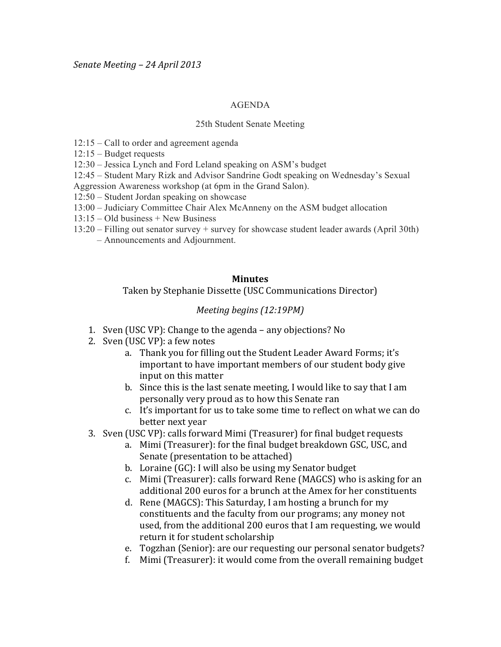#### AGENDA

#### 25th Student Senate Meeting

- 12:15 Call to order and agreement agenda
- 12:15 Budget requests

12:30 – Jessica Lynch and Ford Leland speaking on ASM's budget

- 12:45 Student Mary Rizk and Advisor Sandrine Godt speaking on Wednesday's Sexual
- Aggression Awareness workshop (at 6pm in the Grand Salon).
- 12:50 Student Jordan speaking on showcase
- 13:00 Judiciary Committee Chair Alex McAnneny on the ASM budget allocation
- 13:15 Old business + New Business
- 13:20 Filling out senator survey + survey for showcase student leader awards (April 30th)
	- Announcements and Adjournment.

## **Minutes**

## Taken by Stephanie Dissette (USC Communications Director)

## *Meeting begins (12:19PM)*

- 1. Sven (USC VP): Change to the agenda any objections? No
- 2. Sven (USC VP): a few notes
	- a. Thank you for filling out the Student Leader Award Forms; it's important to have important members of our student body give input on this matter
	- b. Since this is the last senate meeting, I would like to say that I am personally very proud as to how this Senate ran
	- c. It's important for us to take some time to reflect on what we can do better next year
- 3. Sven (USC VP): calls forward Mimi (Treasurer) for final budget requests
	- a. Mimi (Treasurer): for the final budget breakdown GSC, USC, and Senate (presentation to be attached)
	- b. Loraine (GC): I will also be using my Senator budget
	- c. Mimi (Treasurer): calls forward Rene (MAGCS) who is asking for an additional 200 euros for a brunch at the Amex for her constituents
	- d. Rene (MAGCS): This Saturday, I am hosting a brunch for my constituents and the faculty from our programs; any money not used, from the additional 200 euros that I am requesting, we would return it for student scholarship
	- e. Togzhan (Senior): are our requesting our personal senator budgets?
	- f. Mimi (Treasurer): it would come from the overall remaining budget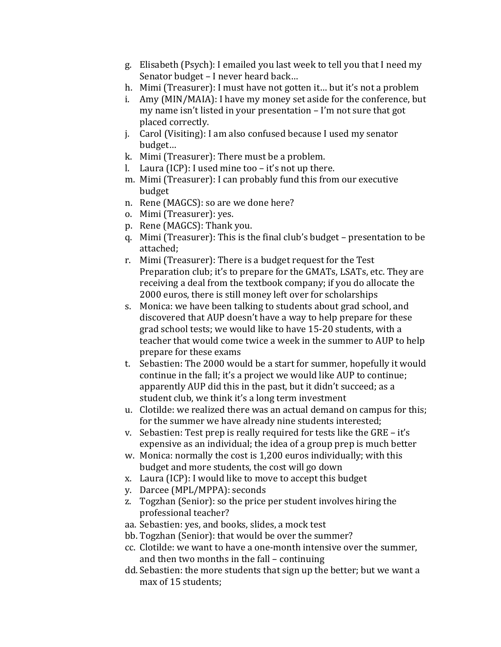- g. Elisabeth (Psych): I emailed you last week to tell you that I need my Senator budget – I never heard back...
- h. Mimi (Treasurer): I must have not gotten it... but it's not a problem
- i. Amy (MIN/MAIA): I have my money set aside for the conference, but my name isn't listed in your presentation – I'm not sure that got placed correctly.
- j. Carol (Visiting): I am also confused because I used my senator budget...
- k. Mimi (Treasurer): There must be a problem.
- l. Laura (ICP): I used mine too it's not up there.
- m. Mimi (Treasurer): I can probably fund this from our executive budget
- n. Rene (MAGCS): so are we done here?
- o. Mimi (Treasurer): yes.
- p. Rene (MAGCS): Thank you.
- q. Mimi (Treasurer): This is the final club's budget presentation to be attached;
- r. Mimi (Treasurer): There is a budget request for the Test Preparation club; it's to prepare for the GMATs, LSATs, etc. They are receiving a deal from the textbook company; if you do allocate the 2000 euros, there is still money left over for scholarships
- s. Monica: we have been talking to students about grad school, and discovered that AUP doesn't have a way to help prepare for these grad school tests; we would like to have 15-20 students, with a teacher that would come twice a week in the summer to AUP to help prepare for these exams
- t. Sebastien: The 2000 would be a start for summer, hopefully it would continue in the fall; it's a project we would like AUP to continue; apparently AUP did this in the past, but it didn't succeed; as a student club, we think it's a long term investment
- u. Clotilde: we realized there was an actual demand on campus for this: for the summer we have already nine students interested;
- v. Sebastien: Test prep is really required for tests like the GRE it's expensive as an individual; the idea of a group prep is much better
- w. Monica: normally the cost is  $1,200$  euros individually; with this budget and more students, the cost will go down
- x. Laura (ICP): I would like to move to accept this budget
- y. Darcee (MPL/MPPA): seconds
- z. Togzhan (Senior): so the price per student involves hiring the professional teacher?
- aa. Sebastien: yes, and books, slides, a mock test
- bb. Togzhan (Senior): that would be over the summer?
- cc. Clotilde: we want to have a one-month intensive over the summer, and then two months in the fall – continuing
- dd. Sebastien: the more students that sign up the better; but we want a max of 15 students: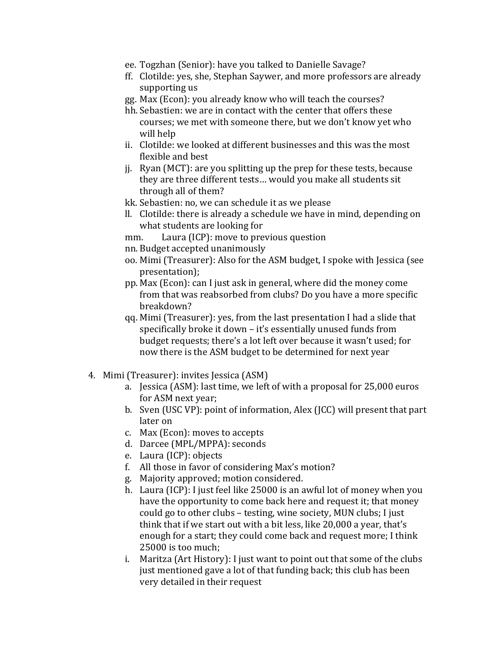- ee. Togzhan (Senior): have you talked to Danielle Savage?
- ff. Clotilde: yes, she, Stephan Saywer, and more professors are already supporting us
- gg. Max (Econ): you already know who will teach the courses?
- hh. Sebastien: we are in contact with the center that offers these courses; we met with someone there, but we don't know yet who will help
- ii. Clotilde: we looked at different businesses and this was the most flexible and best
- j. Ryan (MCT): are you splitting up the prep for these tests, because they are three different tests... would you make all students sit through all of them?
- kk. Sebastien: no, we can schedule it as we please
- ll. Clotilde: there is already a schedule we have in mind, depending on what students are looking for
- mm. Laura (ICP): move to previous question
- nn. Budget accepted unanimously
- oo. Mimi (Treasurer): Also for the ASM budget, I spoke with Jessica (see presentation);
- pp. Max (Econ): can I just ask in general, where did the money come from that was reabsorbed from clubs? Do you have a more specific breakdown?
- qq. Mimi (Treasurer): yes, from the last presentation I had a slide that specifically broke it down – it's essentially unused funds from budget requests; there's a lot left over because it wasn't used; for now there is the ASM budget to be determined for next year
- 4. Mimi (Treasurer): invites Jessica (ASM)
	- a. Jessica (ASM): last time, we left of with a proposal for 25,000 euros for ASM next year;
	- b. Sven (USC VP): point of information, Alex (JCC) will present that part later on
	- c. Max (Econ): moves to accepts
	- d. Darcee (MPL/MPPA): seconds
	- e. Laura (ICP): objects
	- f. All those in favor of considering Max's motion?
	- g. Majority approved; motion considered.
	- h. Laura (ICP): I just feel like 25000 is an awful lot of money when you have the opportunity to come back here and request it; that money could go to other clubs – testing, wine society, MUN clubs; I just think that if we start out with a bit less, like 20,000 a year, that's enough for a start; they could come back and request more; I think  $25000$  is too much;
	- i. Maritza (Art History): I just want to point out that some of the clubs just mentioned gave a lot of that funding back; this club has been very detailed in their request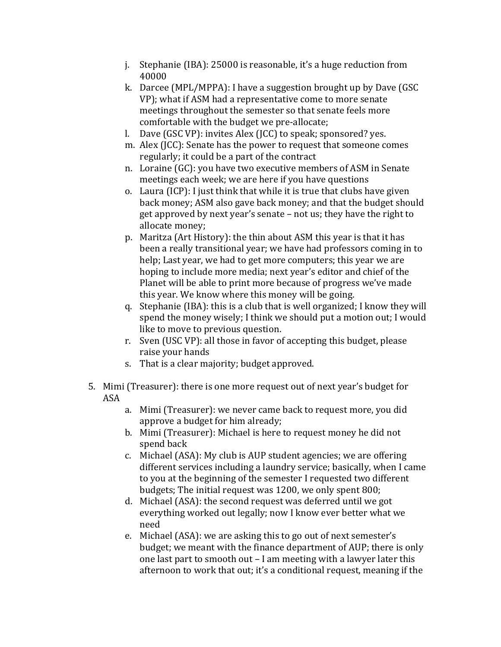- j. Stephanie (IBA):  $25000$  is reasonable, it's a huge reduction from 40000
- k. Darcee (MPL/MPPA): I have a suggestion brought up by Dave (GSC) VP); what if ASM had a representative come to more senate meetings throughout the semester so that senate feels more comfortable with the budget we pre-allocate;
- l. Dave (GSC VP): invites Alex (JCC) to speak; sponsored? yes.
- m. Alex (JCC): Senate has the power to request that someone comes regularly; it could be a part of the contract
- n. Loraine (GC): you have two executive members of ASM in Senate meetings each week; we are here if you have questions
- o. Laura (ICP): I just think that while it is true that clubs have given back money; ASM also gave back money; and that the budget should get approved by next year's senate – not us; they have the right to allocate money;
- p. Maritza (Art History): the thin about ASM this year is that it has been a really transitional year; we have had professors coming in to help; Last year, we had to get more computers; this year we are hoping to include more media; next year's editor and chief of the Planet will be able to print more because of progress we've made this year. We know where this money will be going.
- q. Stephanie (IBA): this is a club that is well organized; I know they will spend the money wisely; I think we should put a motion out; I would like to move to previous question.
- r. Sven (USC VP): all those in favor of accepting this budget, please raise your hands
- s. That is a clear majority; budget approved.
- 5. Mimi (Treasurer): there is one more request out of next year's budget for ASA
	- a. Mimi (Treasurer): we never came back to request more, you did approve a budget for him already;
	- b. Mimi (Treasurer): Michael is here to request money he did not spend back
	- c. Michael (ASA): My club is AUP student agencies; we are offering different services including a laundry service; basically, when I came to you at the beginning of the semester I requested two different budgets; The initial request was 1200, we only spent 800;
	- d. Michael (ASA): the second request was deferred until we got everything worked out legally; now I know ever better what we need
	- e. Michael (ASA): we are asking this to go out of next semester's budget; we meant with the finance department of AUP; there is only one last part to smooth out – I am meeting with a lawyer later this afternoon to work that out; it's a conditional request, meaning if the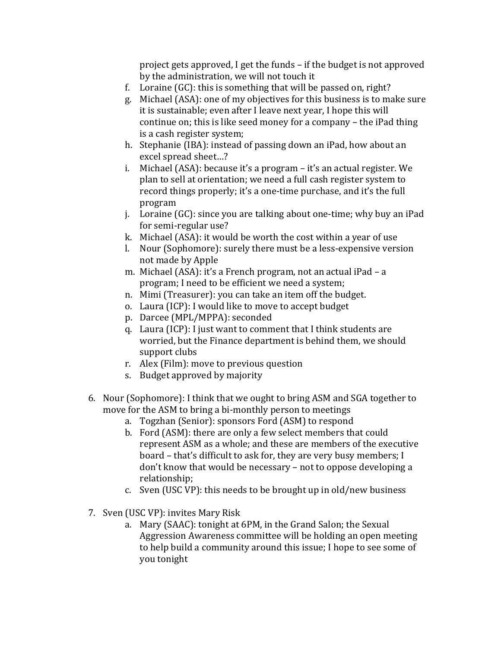project gets approved, I get the funds – if the budget is not approved by the administration, we will not touch it

- f. Loraine  $(GC)$ : this is something that will be passed on, right?
- g. Michael (ASA): one of my objectives for this business is to make sure it is sustainable; even after I leave next year, I hope this will continue on; this is like seed money for a company – the iPad thing is a cash register system;
- h. Stephanie (IBA): instead of passing down an iPad, how about an excel spread sheet...?
- i. Michael (ASA): because it's a program it's an actual register. We plan to sell at orientation; we need a full cash register system to record things properly; it's a one-time purchase, and it's the full program
- j. Loraine  $(GC)$ : since you are talking about one-time; why buy an iPad for semi-regular use?
- k. Michael (ASA): it would be worth the cost within a year of use
- l. Nour (Sophomore): surely there must be a less-expensive version not made by Apple
- m. Michael (ASA): it's a French program, not an actual iPad a program; I need to be efficient we need a system;
- n. Mimi (Treasurer): you can take an item off the budget.
- o. Laura (ICP): I would like to move to accept budget
- p. Darcee (MPL/MPPA): seconded
- q. Laura (ICP): I just want to comment that I think students are worried, but the Finance department is behind them, we should support clubs
- r. Alex (Film): move to previous question
- s. Budget approved by majority
- 6. Nour (Sophomore): I think that we ought to bring ASM and SGA together to  $\overline{a}$ move for the ASM to bring a bi-monthly person to meetings
	- a. Togzhan (Senior): sponsors Ford (ASM) to respond
	- b. Ford (ASM): there are only a few select members that could represent ASM as a whole; and these are members of the executive board – that's difficult to ask for, they are very busy members; I don't know that would be necessary – not to oppose developing a relationship;
	- c. Sven (USC VP): this needs to be brought up in old/new business
- 7. Sven (USC VP): invites Mary Risk
	- a. Mary (SAAC): tonight at 6PM, in the Grand Salon; the Sexual Aggression Awareness committee will be holding an open meeting to help build a community around this issue; I hope to see some of you tonight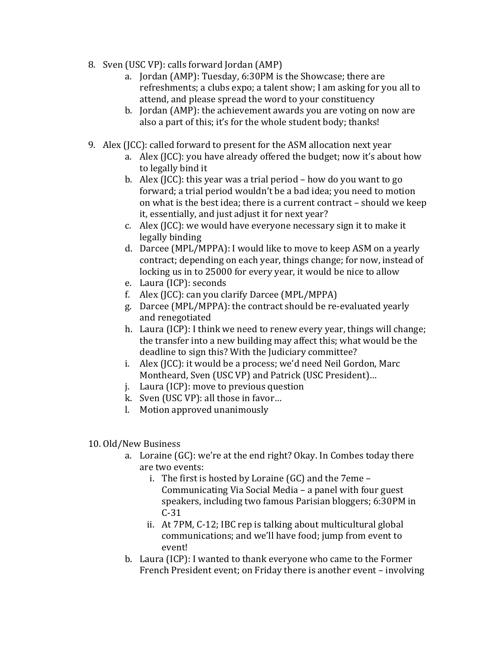- 8. Sven (USC VP): calls forward Jordan (AMP)
	- a. Jordan (AMP): Tuesday, 6:30PM is the Showcase; there are refreshments; a clubs expo; a talent show; I am asking for you all to attend, and please spread the word to your constituency
	- b. Jordan (AMP): the achievement awards you are voting on now are also a part of this; it's for the whole student body; thanks!
- 9. Alex (JCC): called forward to present for the ASM allocation next year
	- a. Alex (JCC): you have already offered the budget; now it's about how to legally bind it
	- b. Alex (JCC): this year was a trial period how do you want to go forward; a trial period wouldn't be a bad idea; you need to motion on what is the best idea; there is a current contract – should we keep it, essentially, and just adjust it for next year?
	- c. Alex (JCC): we would have everyone necessary sign it to make it legally binding
	- d. Darcee (MPL/MPPA): I would like to move to keep ASM on a yearly contract; depending on each year, things change; for now, instead of locking us in to 25000 for every year, it would be nice to allow
	- e. Laura (ICP): seconds
	- f. Alex (JCC): can you clarify Darcee (MPL/MPPA)
	- g. Darcee (MPL/MPPA): the contract should be re-evaluated vearly and renegotiated
	- h. Laura (ICP): I think we need to renew every year, things will change; the transfer into a new building may affect this; what would be the deadline to sign this? With the Judiciary committee?
	- i. Alex (JCC): it would be a process; we'd need Neil Gordon, Marc Montheard, Sven (USC VP) and Patrick (USC President)…
	- j. Laura (ICP): move to previous question
	- k. Sven (USC VP): all those in favor...
	- l. Motion approved unanimously

# 10. Old/New Business

- a. Loraine (GC): we're at the end right? Okay. In Combes today there are two events:
	- i. The first is hosted by Loraine  $(GC)$  and the 7eme Communicating Via Social Media – a panel with four guest speakers, including two famous Parisian bloggers; 6:30PM in  $C-31$
	- ii. At 7PM, C-12; IBC rep is talking about multicultural global communications; and we'll have food; jump from event to event!
- b. Laura (ICP): I wanted to thank everyone who came to the Former French President event; on Friday there is another event – involving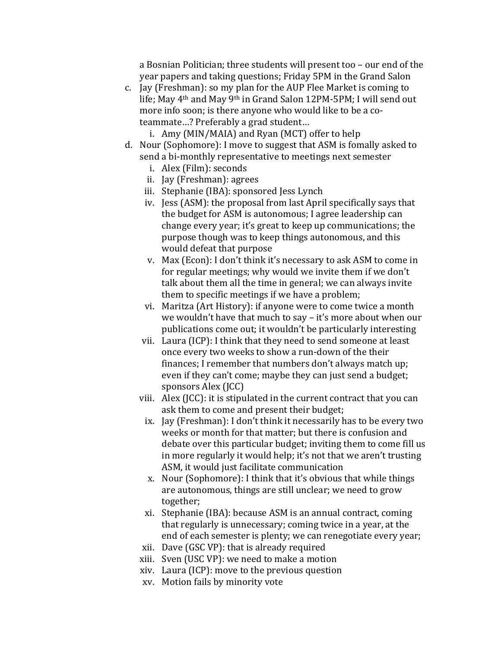a Bosnian Politician; three students will present too – our end of the year papers and taking questions; Friday 5PM in the Grand Salon

c. Jay (Freshman): so my plan for the AUP Flee Market is coming to life; May 4<sup>th</sup> and May 9<sup>th</sup> in Grand Salon 12PM-5PM; I will send out more info soon; is there anyone who would like to be a coteammate...? Preferably a grad student...

i. Amy (MIN/MAIA) and Ryan (MCT) offer to help

- d. Nour (Sophomore): I move to suggest that ASM is fomally asked to send a bi-monthly representative to meetings next semester
	- i. Alex (Film): seconds
	- ii. Jay (Freshman): agrees
	- iii. Stephanie (IBA): sponsored Jess Lynch
	- iv. Jess (ASM): the proposal from last April specifically says that the budget for ASM is autonomous; I agree leadership can change every year; it's great to keep up communications; the purpose though was to keep things autonomous, and this would defeat that purpose
	- v. Max (Econ): I don't think it's necessary to ask ASM to come in for regular meetings; why would we invite them if we don't talk about them all the time in general; we can always invite them to specific meetings if we have a problem;
	- vi. Maritza (Art History): if anyone were to come twice a month we wouldn't have that much to say – it's more about when our publications come out; it wouldn't be particularly interesting
	- vii. Laura (ICP): I think that they need to send someone at least once every two weeks to show a run-down of the their finances; I remember that numbers don't always match up; even if they can't come; maybe they can just send a budget; sponsors Alex (JCC)
	- viii. Alex (JCC): it is stipulated in the current contract that you can ask them to come and present their budget:
		- ix. Jay (Freshman): I don't think it necessarily has to be every two weeks or month for that matter; but there is confusion and debate over this particular budget; inviting them to come fill us in more regularly it would help; it's not that we aren't trusting ASM, it would just facilitate communication
		- x. Nour (Sophomore): I think that it's obvious that while things are autonomous, things are still unclear; we need to grow together;
		- xi. Stephanie (IBA): because ASM is an annual contract, coming that regularly is unnecessary; coming twice in a year, at the end of each semester is plenty; we can renegotiate every year;
	- xii. Dave (GSC VP): that is already required
	- xiii. Sven (USC VP): we need to make a motion
	- $xiv.$  Laura (ICP): move to the previous question
	- xv. Motion fails by minority vote